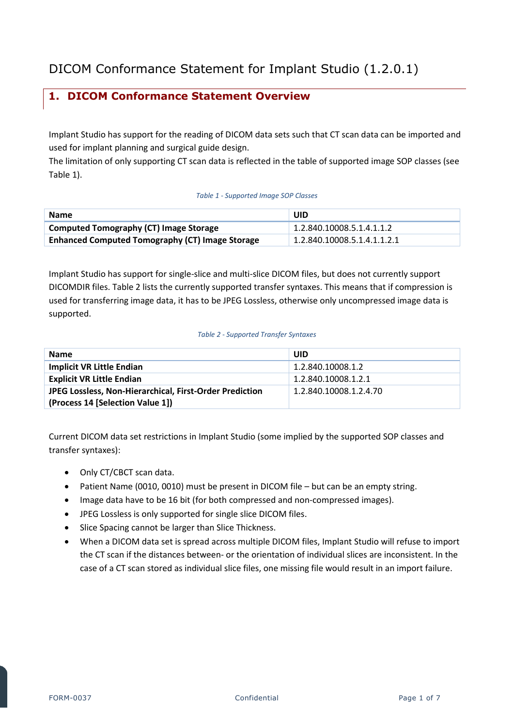# <span id="page-0-2"></span>**1. DICOM Conformance Statement Overview**

Implant Studio has support for the reading of DICOM data sets such that CT scan data can be imported and used for implant planning and surgical guide design.

The limitation of only supporting CT scan data is reflected in the table of supported image SOP classes (see [Table 1\)](#page-0-0).

#### *Table 1 - Supported Image SOP Classes*

<span id="page-0-0"></span>

| <b>Name</b>                                            | UID.                        |
|--------------------------------------------------------|-----------------------------|
| <b>Computed Tomography (CT) Image Storage</b>          | 1.2.840.10008.5.1.4.1.1.2   |
| <b>Enhanced Computed Tomography (CT) Image Storage</b> | 1.2.840.10008.5.1.4.1.1.2.1 |

Implant Studio has support for single-slice and multi-slice DICOM files, but does not currently support DICOMDIR files. [Table 2](#page-0-1) lists the currently supported transfer syntaxes. This means that if compression is used for transferring image data, it has to be JPEG Lossless, otherwise only uncompressed image data is supported.

#### *Table 2 - Supported Transfer Syntaxes*

<span id="page-0-1"></span>

| <b>Name</b>                                             | UID                    |
|---------------------------------------------------------|------------------------|
| <b>Implicit VR Little Endian</b>                        | 1.2.840.10008.1.2      |
| <b>Explicit VR Little Endian</b>                        | 1.2.840.10008.1.2.1    |
| JPEG Lossless, Non-Hierarchical, First-Order Prediction | 1.2.840.10008.1.2.4.70 |
| (Process 14 [Selection Value 1])                        |                        |

Current DICOM data set restrictions in Implant Studio (some implied by the supported SOP classes and transfer syntaxes):

- Only CT/CBCT scan data.
- Patient Name (0010, 0010) must be present in DICOM file but can be an empty string.
- Image data have to be 16 bit (for both compressed and non-compressed images).
- JPEG Lossless is only supported for single slice DICOM files.
- Slice Spacing cannot be larger than Slice Thickness.
- When a DICOM data set is spread across multiple DICOM files, Implant Studio will refuse to import the CT scan if the distances between- or the orientation of individual slices are inconsistent. In the case of a CT scan stored as individual slice files, one missing file would result in an import failure.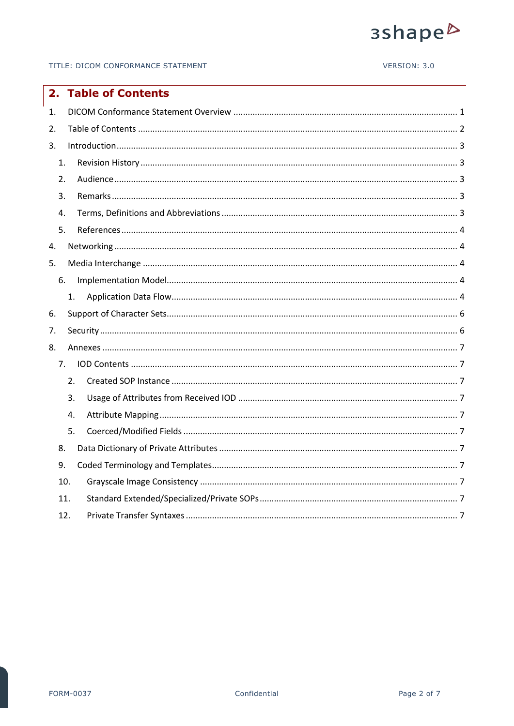# 3shape<sup>b</sup>

#### VERSION: 3.0

<span id="page-1-0"></span>

| 2. |     | <b>Table of Contents</b> |
|----|-----|--------------------------|
| 1. |     |                          |
| 2. |     |                          |
| 3. |     |                          |
| 1. |     |                          |
| 2. |     |                          |
| 3. |     |                          |
| 4. |     |                          |
| 5. |     |                          |
| 4. |     |                          |
| 5. |     |                          |
| 6. |     |                          |
|    | 1.  |                          |
| 6. |     |                          |
| 7. |     |                          |
| 8. |     |                          |
|    | 7.  |                          |
|    | 2.  |                          |
|    | 3.  |                          |
|    | 4.  |                          |
|    | 5.  |                          |
| 8. |     |                          |
| 9. |     |                          |
|    | 10. |                          |
|    | 11. |                          |
|    | 12. |                          |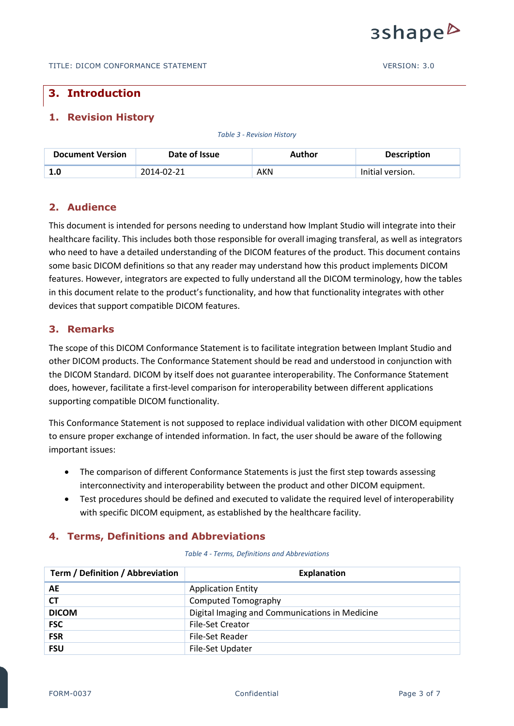

# <span id="page-2-0"></span>**3. Introduction**

# <span id="page-2-1"></span>**1. Revision History**

*Table 3 - Revision History*

| <b>Document Version</b> | Date of Issue | Author | <b>Description</b> |
|-------------------------|---------------|--------|--------------------|
| 1.0                     | 2014-02-21    | AKN    | Initial version.   |

# <span id="page-2-2"></span>**2. Audience**

This document is intended for persons needing to understand how Implant Studio will integrate into their healthcare facility. This includes both those responsible for overall imaging transferal, as well as integrators who need to have a detailed understanding of the DICOM features of the product. This document contains some basic DICOM definitions so that any reader may understand how this product implements DICOM features. However, integrators are expected to fully understand all the DICOM terminology, how the tables in this document relate to the product's functionality, and how that functionality integrates with other devices that support compatible DICOM features.

# <span id="page-2-3"></span>**3. Remarks**

The scope of this DICOM Conformance Statement is to facilitate integration between Implant Studio and other DICOM products. The Conformance Statement should be read and understood in conjunction with the DICOM Standard. DICOM by itself does not guarantee interoperability. The Conformance Statement does, however, facilitate a first-level comparison for interoperability between different applications supporting compatible DICOM functionality.

This Conformance Statement is not supposed to replace individual validation with other DICOM equipment to ensure proper exchange of intended information. In fact, the user should be aware of the following important issues:

- The comparison of different Conformance Statements is just the first step towards assessing interconnectivity and interoperability between the product and other DICOM equipment.
- Test procedures should be defined and executed to validate the required level of interoperability with specific DICOM equipment, as established by the healthcare facility.

# <span id="page-2-4"></span>**4. Terms, Definitions and Abbreviations**

*Table 4 - Terms, Definitions and Abbreviations*

| Term / Definition / Abbreviation | <b>Explanation</b>                             |
|----------------------------------|------------------------------------------------|
| <b>AE</b>                        | <b>Application Entity</b>                      |
| <b>CT</b>                        | Computed Tomography                            |
| <b>DICOM</b>                     | Digital Imaging and Communications in Medicine |
| <b>FSC</b>                       | <b>File-Set Creator</b>                        |
| <b>FSR</b>                       | File-Set Reader                                |
| <b>FSU</b>                       | File-Set Updater                               |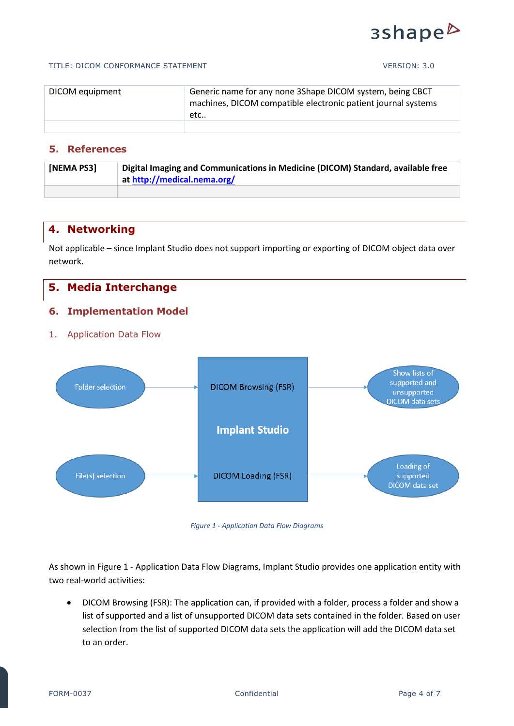# 3shape<sup>b</sup>

#### TITLE: DICOM CONFORMANCE STATEMENT VERSION: 3.0

| DICOM equipment | Generic name for any none 3Shape DICOM system, being CBCT<br>machines, DICOM compatible electronic patient journal systems<br>etc |
|-----------------|-----------------------------------------------------------------------------------------------------------------------------------|
|                 |                                                                                                                                   |

# <span id="page-3-0"></span>**5. References**

| [NEMA PS3] | Digital Imaging and Communications in Medicine (DICOM) Standard, available free |  |
|------------|---------------------------------------------------------------------------------|--|
|            | at http://medical.nema.org/                                                     |  |
|            |                                                                                 |  |

# <span id="page-3-1"></span>**4. Networking**

Not applicable – since Implant Studio does not support importing or exporting of DICOM object data over network.

# <span id="page-3-2"></span>**5. Media Interchange**

## <span id="page-3-3"></span>**6. Implementation Model**

# <span id="page-3-4"></span>1. Application Data Flow





<span id="page-3-5"></span>As shown in Figure 1 - [Application Data Flow Diagrams,](#page-3-5) Implant Studio provides one application entity with two real-world activities:

 DICOM Browsing (FSR): The application can, if provided with a folder, process a folder and show a list of supported and a list of unsupported DICOM data sets contained in the folder. Based on user selection from the list of supported DICOM data sets the application will add the DICOM data set to an order.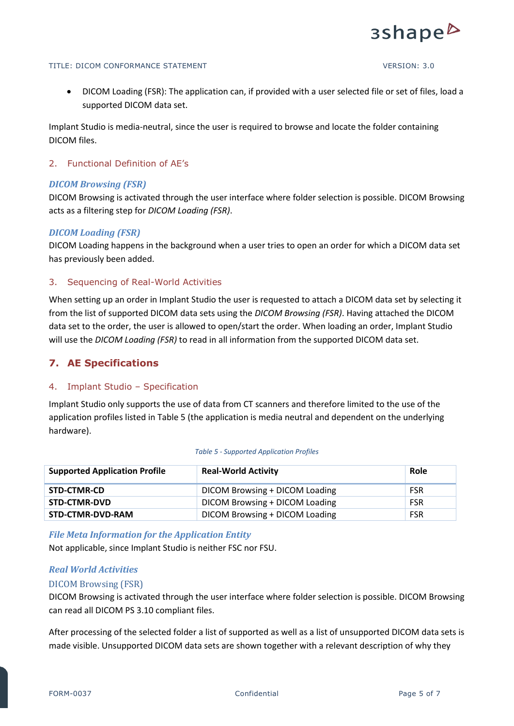

#### TITLE: DICOM CONFORMANCE STATEMENT VERSION: 3.0

 DICOM Loading (FSR): The application can, if provided with a user selected file or set of files, load a supported DICOM data set.

Implant Studio is media-neutral, since the user is required to browse and locate the folder containing DICOM files.

#### 2. Functional Definition of AE's

#### *DICOM Browsing (FSR)*

DICOM Browsing is activated through the user interface where folder selection is possible. DICOM Browsing acts as a filtering step for *DICOM Loading (FSR)*.

#### *DICOM Loading (FSR)*

DICOM Loading happens in the background when a user tries to open an order for which a DICOM data set has previously been added.

#### 3. Sequencing of Real-World Activities

When setting up an order in Implant Studio the user is requested to attach a DICOM data set by selecting it from the list of supported DICOM data sets using the *DICOM Browsing (FSR)*. Having attached the DICOM data set to the order, the user is allowed to open/start the order. When loading an order, Implant Studio will use the *DICOM Loading (FSR)* to read in all information from the supported DICOM data set.

# **7. AE Specifications**

#### 4. Implant Studio – Specification

Implant Studio only supports the use of data from CT scanners and therefore limited to the use of the application profiles listed in [Table 5](#page-4-0) (the application is media neutral and dependent on the underlying hardware).

<span id="page-4-0"></span>

| <b>Supported Application Profile</b> | <b>Real-World Activity</b>     | Role       |
|--------------------------------------|--------------------------------|------------|
| STD-CTMR-CD                          | DICOM Browsing + DICOM Loading | <b>FSR</b> |
| STD-CTMR-DVD                         | DICOM Browsing + DICOM Loading | <b>FSR</b> |
| STD-CTMR-DVD-RAM                     | DICOM Browsing + DICOM Loading | <b>FSR</b> |

#### *Table 5 - Supported Application Profiles*

*File Meta Information for the Application Entity*

Not applicable, since Implant Studio is neither FSC nor FSU.

#### *Real World Activities*

#### DICOM Browsing (FSR)

DICOM Browsing is activated through the user interface where folder selection is possible. DICOM Browsing can read all DICOM PS 3.10 compliant files.

After processing of the selected folder a list of supported as well as a list of unsupported DICOM data sets is made visible. Unsupported DICOM data sets are shown together with a relevant description of why they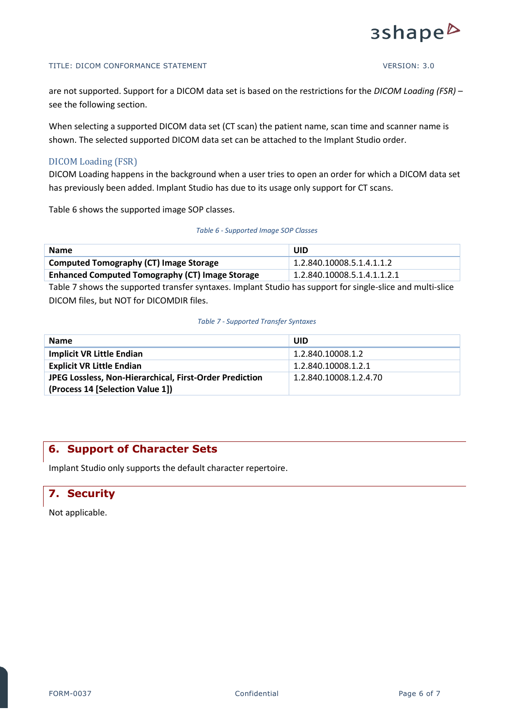

#### TITLE: DICOM CONFORMANCE STATEMENT VERSION: 3.0

are not supported. Support for a DICOM data set is based on the restrictions for the *DICOM Loading (FSR)* – see the following section.

When selecting a supported DICOM data set (CT scan) the patient name, scan time and scanner name is shown. The selected supported DICOM data set can be attached to the Implant Studio order.

#### DICOM Loading (FSR)

DICOM Loading happens in the background when a user tries to open an order for which a DICOM data set has previously been added. Implant Studio has due to its usage only support for CT scans.

[Table 6](#page-5-2) shows the supported image SOP classes.

#### *Table 6 - Supported Image SOP Classes*

<span id="page-5-2"></span>

| <b>Name</b>                                            | UID                         |  |
|--------------------------------------------------------|-----------------------------|--|
| <b>Computed Tomography (CT) Image Storage</b>          | 1.2.840.10008.5.1.4.1.1.2   |  |
| <b>Enhanced Computed Tomography (CT) Image Storage</b> | 1.2.840.10008.5.1.4.1.1.2.1 |  |

[Table 7](#page-5-3) shows the supported transfer syntaxes. Implant Studio has support for single-slice and multi-slice DICOM files, but NOT for DICOMDIR files.

#### *Table 7 - Supported Transfer Syntaxes*

<span id="page-5-3"></span>

| <b>Name</b>                                             | UID                    |
|---------------------------------------------------------|------------------------|
| <b>Implicit VR Little Endian</b>                        | 1.2.840.10008.1.2      |
| <b>Explicit VR Little Endian</b>                        | 1.2.840.10008.1.2.1    |
| JPEG Lossless, Non-Hierarchical, First-Order Prediction | 1.2.840.10008.1.2.4.70 |
| (Process 14 [Selection Value 1])                        |                        |

# <span id="page-5-0"></span>**6. Support of Character Sets**

Implant Studio only supports the default character repertoire.

# <span id="page-5-1"></span>**7. Security**

Not applicable.